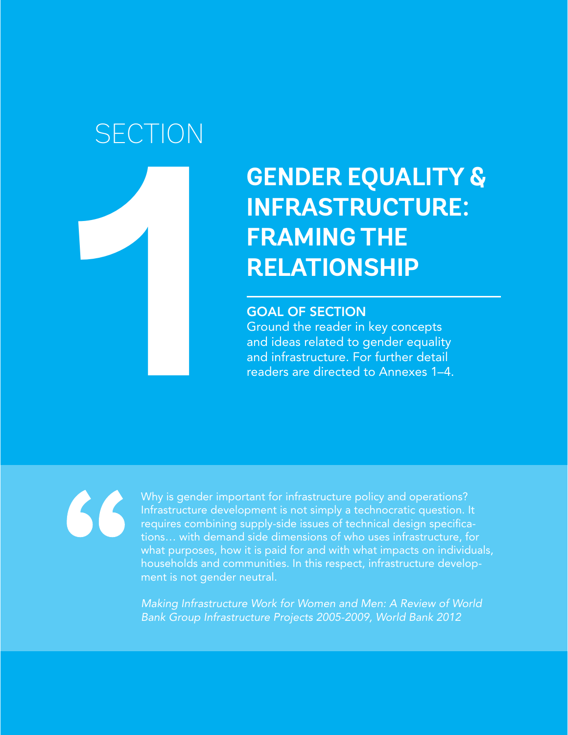# **SECTION**

**1**

# **GENDER EQUALITY & INFRASTRUCTURE: FRAMING THE RELATIONSHIP**

#### GOAL OF SECTION

Ground the reader in key concepts and ideas related to gender equality and infrastructure. For further detail readers are directed to Annexes 1–4.

 $\mathcal{L}\mathcal{L}$ 

Why is gender important for infrastructure policy and operations? Infrastructure development is not simply a technocratic question. It requires combining supply-side issues of technical design specifications… with demand side dimensions of who uses infrastructure, for what purposes, how it is paid for and with what impacts on individuals, households and communities. In this respect, infrastructure development is not gender neutral.

*Making Infrastructure Work for Women and Men: A Review of World Bank Group Infrastructure Projects 2005-2009, World Bank 2012*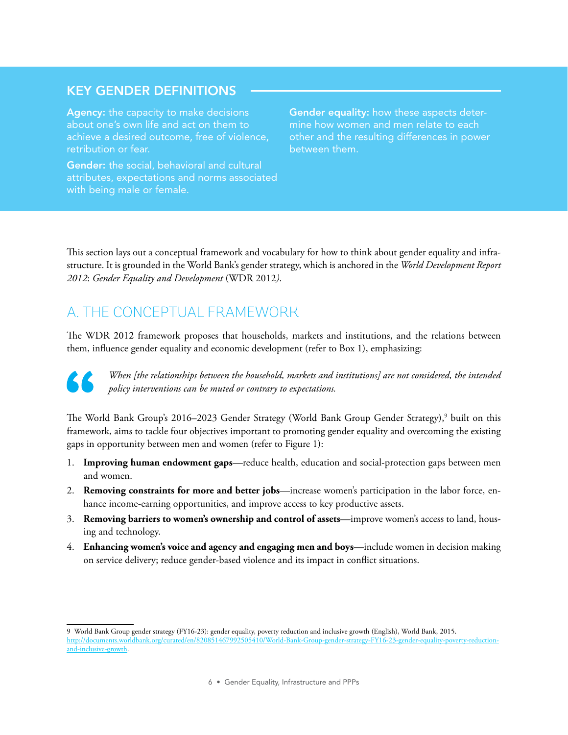### KEY GENDER DEFINITIONS

Agency: the capacity to make decisions about one's own life and act on them to achieve a desired outcome, free of violence, retribution or fear.

Gender: the social, behavioral and cultural attributes, expectations and norms associated with being male or female.

Gender equality: how these aspects determine how women and men relate to each other and the resulting differences in power between them.

This section lays out a conceptual framework and vocabulary for how to think about gender equality and infrastructure. It is grounded in the World Bank's gender strategy, which is anchored in the *World Development Report 2012*: *Gender Equality and Development* (WDR 2012*)*.

# A. THE CONCEPTUAL FRAMEWORK

The WDR 2012 framework proposes that households, markets and institutions, and the relations between them, influence gender equality and economic development (refer to Box 1), emphasizing:



*When [the relationships between the household, markets and institutions] are not considered, the intended policy interventions can be muted or contrary to expectations.* 

The World Bank Group's 2016–2023 Gender Strategy (World Bank Group Gender Strategy),<sup>9</sup> built on this framework, aims to tackle four objectives important to promoting gender equality and overcoming the existing gaps in opportunity between men and women (refer to Figure 1):

- 1. **Improving human endowment gaps**—reduce health, education and social-protection gaps between men and women.
- 2. **Removing constraints for more and better jobs**—increase women's participation in the labor force, enhance income-earning opportunities, and improve access to key productive assets.
- 3. **Removing barriers to women's ownership and control of assets**—improve women's access to land, housing and technology.
- 4. **Enhancing women's voice and agency and engaging men and boys**—include women in decision making on service delivery; reduce gender-based violence and its impact in conflict situations.

<sup>9</sup> World Bank Group gender strategy (FY16-23): gender equality, poverty reduction and inclusive growth (English), World Bank, 2015. [http://documents.worldbank.org/curated/en/820851467992505410/World-Bank-Group-gender-strategy-FY16-23-gender-equality-poverty-reduction](http://documents.worldbank.org/curated/en/820851467992505410/World-Bank-Group-gender-strategy-FY16-23-gender-equality-poverty-reduction-and-inclusive-growth)[and-inclusive-growth](http://documents.worldbank.org/curated/en/820851467992505410/World-Bank-Group-gender-strategy-FY16-23-gender-equality-poverty-reduction-and-inclusive-growth).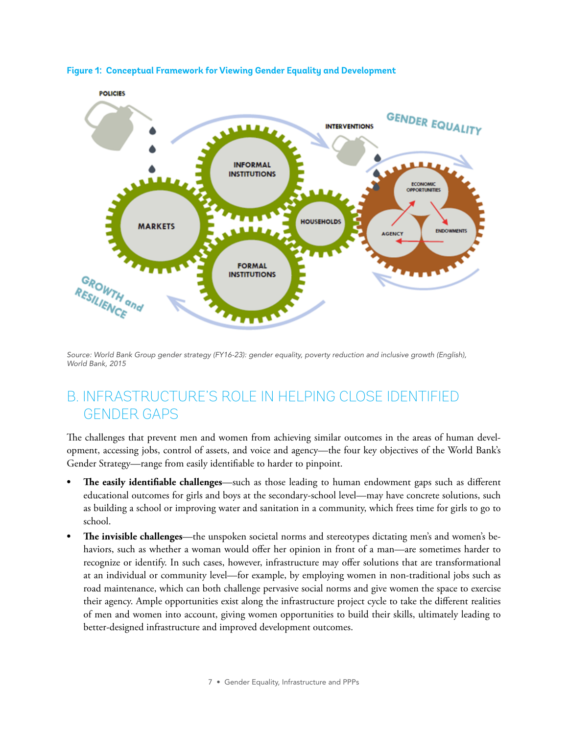

**Figure 1: Conceptual Framework for Viewing Gender Equality and Development**

Source: World Bank Group gender strategy (FY16-23): gender equality, poverty reduction and inclusive growth (English), *World Bank, 2015*

### B. INFRASTRUCTURE'S ROLE IN HELPING CLOSE IDENTIFIED GENDER GAPS

The challenges that prevent men and women from achieving similar outcomes in the areas of human development, accessing jobs, control of assets, and voice and agency—the four key objectives of the World Bank's Gender Strategy—range from easily identifiable to harder to pinpoint.

- **• The easily identifiable challenges**—such as those leading to human endowment gaps such as different educational outcomes for girls and boys at the secondary-school level—may have concrete solutions, such as building a school or improving water and sanitation in a community, which frees time for girls to go to school.
- **• The invisible challenges**—the unspoken societal norms and stereotypes dictating men's and women's behaviors, such as whether a woman would offer her opinion in front of a man—are sometimes harder to recognize or identify. In such cases, however, infrastructure may offer solutions that are transformational at an individual or community level—for example, by employing women in non-traditional jobs such as road maintenance, which can both challenge pervasive social norms and give women the space to exercise their agency. Ample opportunities exist along the infrastructure project cycle to take the different realities of men and women into account, giving women opportunities to build their skills, ultimately leading to better-designed infrastructure and improved development outcomes.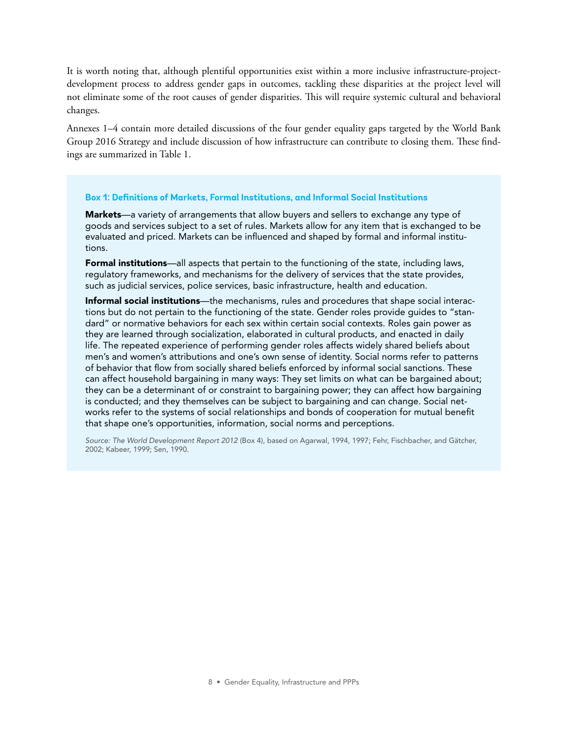It is worth noting that, although plentiful opportunities exist within a more inclusive infrastructure-projectdevelopment process to address gender gaps in outcomes, tackling these disparities at the project level will not eliminate some of the root causes of gender disparities. This will require systemic cultural and behavioral changes.

Annexes 1–4 contain more detailed discussions of the four gender equality gaps targeted by the World Bank Group 2016 Strategy and include discussion of how infrastructure can contribute to closing them. These findings are summarized in Table 1.

#### **Box 1: Definitions of Markets, Formal Institutions, and Informal Social Institutions**

Markets—a variety of arrangements that allow buyers and sellers to exchange any type of goods and services subject to a set of rules. Markets allow for any item that is exchanged to be evaluated and priced. Markets can be influenced and shaped by formal and informal institutions.

Formal institutions—all aspects that pertain to the functioning of the state, including laws, regulatory frameworks, and mechanisms for the delivery of services that the state provides, such as judicial services, police services, basic infrastructure, health and education.

Informal social institutions—the mechanisms, rules and procedures that shape social interactions but do not pertain to the functioning of the state. Gender roles provide guides to "standard" or normative behaviors for each sex within certain social contexts. Roles gain power as they are learned through socialization, elaborated in cultural products, and enacted in daily life. The repeated experience of performing gender roles affects widely shared beliefs about men's and women's attributions and one's own sense of identity. Social norms refer to patterns of behavior that flow from socially shared beliefs enforced by informal social sanctions. These can affect household bargaining in many ways: They set limits on what can be bargained about; they can be a determinant of or constraint to bargaining power; they can affect how bargaining is conducted; and they themselves can be subject to bargaining and can change. Social networks refer to the systems of social relationships and bonds of cooperation for mutual benefit that shape one's opportunities, information, social norms and perceptions.

*Source: The World Development Report 2012* (Box 4), based on Agarwal, 1994, 1997; Fehr, Fischbacher, and Gätcher, 2002; Kabeer, 1999; Sen, 1990.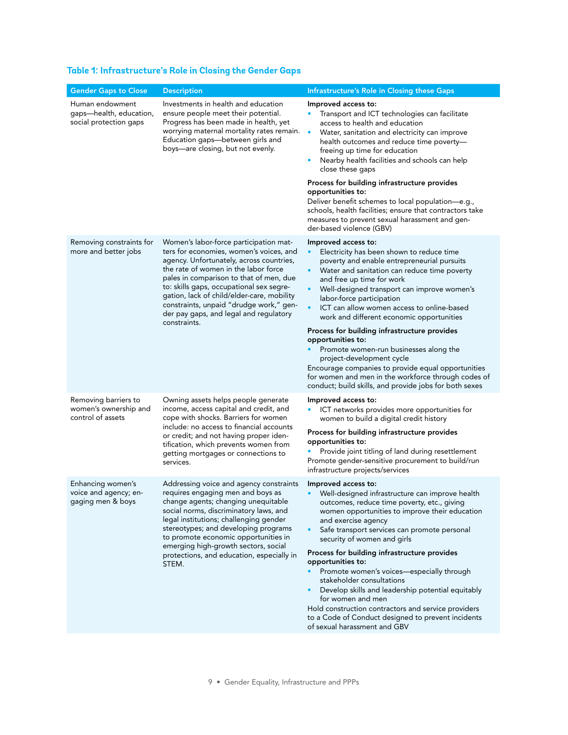#### **Table 1: Infrastructure's Role in Closing the Gender Gaps**

| <b>Gender Gaps to Close</b>                                          | <b>Description</b>                                                                                                                                                                                                                                                                                                                                                                                              | Infrastructure's Role in Closing these Gaps                                                                                                                                                                                                                                                                                                                                                                                                                                                                                                                                                                                                                                                                                                               |
|----------------------------------------------------------------------|-----------------------------------------------------------------------------------------------------------------------------------------------------------------------------------------------------------------------------------------------------------------------------------------------------------------------------------------------------------------------------------------------------------------|-----------------------------------------------------------------------------------------------------------------------------------------------------------------------------------------------------------------------------------------------------------------------------------------------------------------------------------------------------------------------------------------------------------------------------------------------------------------------------------------------------------------------------------------------------------------------------------------------------------------------------------------------------------------------------------------------------------------------------------------------------------|
| Human endowment<br>gaps-health, education,<br>social protection gaps | Investments in health and education<br>ensure people meet their potential.<br>Progress has been made in health, yet<br>worrying maternal mortality rates remain.<br>Education gaps-between girls and<br>boys-are closing, but not evenly.                                                                                                                                                                       | Improved access to:<br>Transport and ICT technologies can facilitate<br>access to health and education<br>$\bullet$<br>Water, sanitation and electricity can improve<br>health outcomes and reduce time poverty-<br>freeing up time for education<br>Nearby health facilities and schools can help<br>close these gaps<br>Process for building infrastructure provides<br>opportunities to:<br>Deliver benefit schemes to local population-e.g.,<br>schools, health facilities; ensure that contractors take<br>measures to prevent sexual harassment and gen-                                                                                                                                                                                            |
| Removing constraints for<br>more and better jobs                     | Women's labor-force participation mat-<br>ters for economies, women's voices, and<br>agency. Unfortunately, across countries,<br>the rate of women in the labor force<br>pales in comparison to that of men, due<br>to: skills gaps, occupational sex segre-<br>gation, lack of child/elder-care, mobility<br>constraints, unpaid "drudge work," gen-<br>der pay gaps, and legal and regulatory<br>constraints. | der-based violence (GBV)<br>Improved access to:<br>Electricity has been shown to reduce time<br>poverty and enable entrepreneurial pursuits<br>Water and sanitation can reduce time poverty<br>$\bullet$<br>and free up time for work<br>Well-designed transport can improve women's<br>$\bullet$<br>labor-force participation<br>$\bullet$<br>ICT can allow women access to online-based<br>work and different economic opportunities<br>Process for building infrastructure provides<br>opportunities to:<br>Promote women-run businesses along the<br>project-development cycle<br>Encourage companies to provide equal opportunities<br>for women and men in the workforce through codes of<br>conduct; build skills, and provide jobs for both sexes |
| Removing barriers to<br>women's ownership and<br>control of assets   | Owning assets helps people generate<br>income, access capital and credit, and<br>cope with shocks. Barriers for women<br>include: no access to financial accounts<br>or credit; and not having proper iden-<br>tification, which prevents women from<br>getting mortgages or connections to<br>services.                                                                                                        | Improved access to:<br>ICT networks provides more opportunities for<br>women to build a digital credit history<br>Process for building infrastructure provides<br>opportunities to:<br>Provide joint titling of land during resettlement<br>Promote gender-sensitive procurement to build/run<br>infrastructure projects/services                                                                                                                                                                                                                                                                                                                                                                                                                         |
| Enhancing women's<br>voice and agency; en-<br>gaging men & boys      | Addressing voice and agency constraints<br>requires engaging men and boys as<br>change agents; changing unequitable<br>social norms, discriminatory laws, and<br>legal institutions; challenging gender<br>stereotypes; and developing programs<br>to promote economic opportunities in<br>emerging high-growth sectors, social<br>protections, and education, especially in<br>STEM.                           | Improved access to:<br>Well-designed infrastructure can improve health<br>outcomes, reduce time poverty, etc., giving<br>women opportunities to improve their education<br>and exercise agency<br>Safe transport services can promote personal<br>security of women and girls<br>Process for building infrastructure provides<br>opportunities to:<br>Promote women's voices-especially through<br>stakeholder consultations<br>Develop skills and leadership potential equitably<br>for women and men<br>Hold construction contractors and service providers<br>to a Code of Conduct designed to prevent incidents<br>of sexual harassment and GBV                                                                                                       |